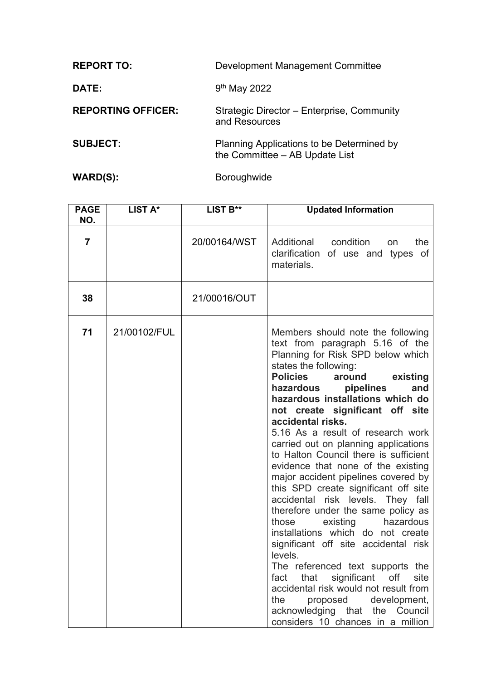| Development Management Committee                                            |
|-----------------------------------------------------------------------------|
| 9 <sup>th</sup> May 2022                                                    |
| Strategic Director – Enterprise, Community<br>and Resources                 |
| Planning Applications to be Determined by<br>the Committee - AB Update List |
|                                                                             |

WARD(S): Boroughwide

| <b>PAGE</b>           | LIST A*      | LIST B**     | <b>Updated Information</b>                                                                                                                                                                                                                                                                                                                                                                                                                                                                                                                                                                                                                                                                                                                                                                                                                                                                                                                                                              |
|-----------------------|--------------|--------------|-----------------------------------------------------------------------------------------------------------------------------------------------------------------------------------------------------------------------------------------------------------------------------------------------------------------------------------------------------------------------------------------------------------------------------------------------------------------------------------------------------------------------------------------------------------------------------------------------------------------------------------------------------------------------------------------------------------------------------------------------------------------------------------------------------------------------------------------------------------------------------------------------------------------------------------------------------------------------------------------|
| NO.<br>$\overline{7}$ |              | 20/00164/WST | Additional condition<br>the<br>on<br>clarification of use and types of<br>materials.                                                                                                                                                                                                                                                                                                                                                                                                                                                                                                                                                                                                                                                                                                                                                                                                                                                                                                    |
| 38                    |              | 21/00016/OUT |                                                                                                                                                                                                                                                                                                                                                                                                                                                                                                                                                                                                                                                                                                                                                                                                                                                                                                                                                                                         |
| 71                    | 21/00102/FUL |              | Members should note the following<br>text from paragraph 5.16 of the<br>Planning for Risk SPD below which<br>states the following:<br><b>Policies</b><br>around<br>existing<br>hazardous<br>pipelines<br>and<br>hazardous installations which do<br>not create significant off site<br>accidental risks.<br>5.16 As a result of research work<br>carried out on planning applications<br>to Halton Council there is sufficient<br>evidence that none of the existing<br>major accident pipelines covered by<br>this SPD create significant off site<br>accidental risk levels. They fall<br>therefore under the same policy as<br>existing<br>hazardous<br>those<br>installations which do not create<br>significant off site accidental risk<br>levels.<br>The referenced text supports the<br>that<br>significant off<br>site<br>fact<br>accidental risk would not result from<br>the<br>proposed development,<br>acknowledging that the Council<br>considers 10 chances in a million |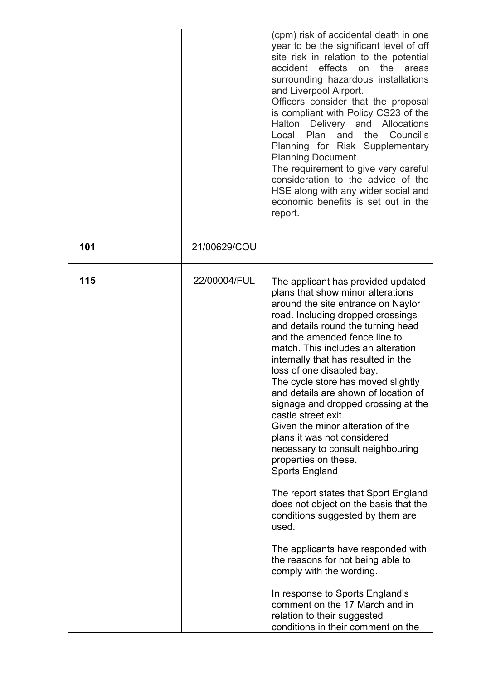|     |              | (cpm) risk of accidental death in one<br>year to be the significant level of off<br>site risk in relation to the potential<br>accident effects on<br>the<br>areas<br>surrounding hazardous installations<br>and Liverpool Airport.<br>Officers consider that the proposal<br>is compliant with Policy CS23 of the<br>Halton Delivery and Allocations<br>Local Plan and the Council's<br>Planning for Risk Supplementary<br><b>Planning Document.</b><br>The requirement to give very careful<br>consideration to the advice of the<br>HSE along with any wider social and<br>economic benefits is set out in the<br>report.                                                                                                                                                                                                                                                                                                                                                                                       |
|-----|--------------|-------------------------------------------------------------------------------------------------------------------------------------------------------------------------------------------------------------------------------------------------------------------------------------------------------------------------------------------------------------------------------------------------------------------------------------------------------------------------------------------------------------------------------------------------------------------------------------------------------------------------------------------------------------------------------------------------------------------------------------------------------------------------------------------------------------------------------------------------------------------------------------------------------------------------------------------------------------------------------------------------------------------|
| 101 | 21/00629/COU |                                                                                                                                                                                                                                                                                                                                                                                                                                                                                                                                                                                                                                                                                                                                                                                                                                                                                                                                                                                                                   |
| 115 | 22/00004/FUL | The applicant has provided updated<br>plans that show minor alterations<br>around the site entrance on Naylor<br>road. Including dropped crossings<br>and details round the turning head<br>and the amended fence line to<br>match. This includes an alteration<br>internally that has resulted in the<br>loss of one disabled bay.<br>The cycle store has moved slightly<br>and details are shown of location of<br>signage and dropped crossing at the<br>castle street exit.<br>Given the minor alteration of the<br>plans it was not considered<br>necessary to consult neighbouring<br>properties on these.<br>Sports England<br>The report states that Sport England<br>does not object on the basis that the<br>conditions suggested by them are<br>used.<br>The applicants have responded with<br>the reasons for not being able to<br>comply with the wording.<br>In response to Sports England's<br>comment on the 17 March and in<br>relation to their suggested<br>conditions in their comment on the |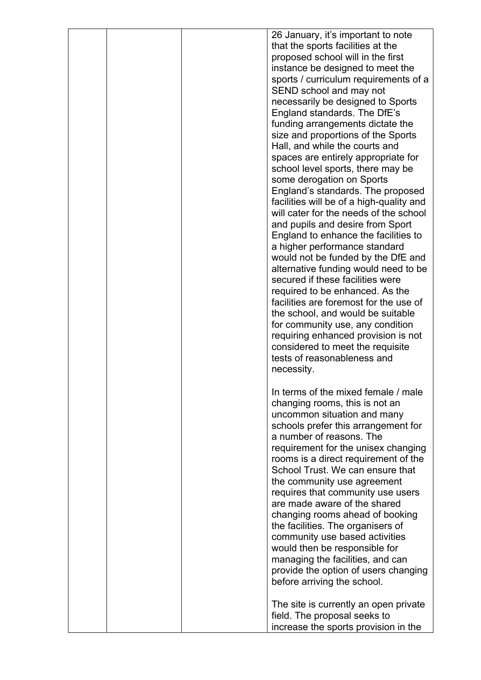| 26 January, it's important to note       |
|------------------------------------------|
| that the sports facilities at the        |
| proposed school will in the first        |
| instance be designed to meet the         |
| sports / curriculum requirements of a    |
| SEND school and may not                  |
| necessarily be designed to Sports        |
| England standards. The DfE's             |
| funding arrangements dictate the         |
| size and proportions of the Sports       |
| Hall, and while the courts and           |
| spaces are entirely appropriate for      |
| school level sports, there may be        |
| some derogation on Sports                |
| England's standards. The proposed        |
| facilities will be of a high-quality and |
| will cater for the needs of the school   |
| and pupils and desire from Sport         |
| England to enhance the facilities to     |
| a higher performance standard            |
| would not be funded by the DfE and       |
| alternative funding would need to be     |
| secured if these facilities were         |
| required to be enhanced. As the          |
| facilities are foremost for the use of   |
| the school, and would be suitable        |
| for community use, any condition         |
| requiring enhanced provision is not      |
| considered to meet the requisite         |
| tests of reasonableness and              |
| necessity.                               |
|                                          |
| In terms of the mixed female / male      |
| changing rooms, this is not an           |
| uncommon situation and many              |
| schools prefer this arrangement for      |
| a number of reasons. The                 |
| requirement for the unisex changing      |
| rooms is a direct requirement of the     |
| School Trust. We can ensure that         |
| the community use agreement              |
| requires that community use users        |
| are made aware of the shared             |
| changing rooms ahead of booking          |
| the facilities. The organisers of        |
| community use based activities           |
| would then be responsible for            |
| managing the facilities, and can         |
| provide the option of users changing     |
| before arriving the school.              |
|                                          |
| The site is currently an open private    |
| field. The proposal seeks to             |
| increase the sports provision in the     |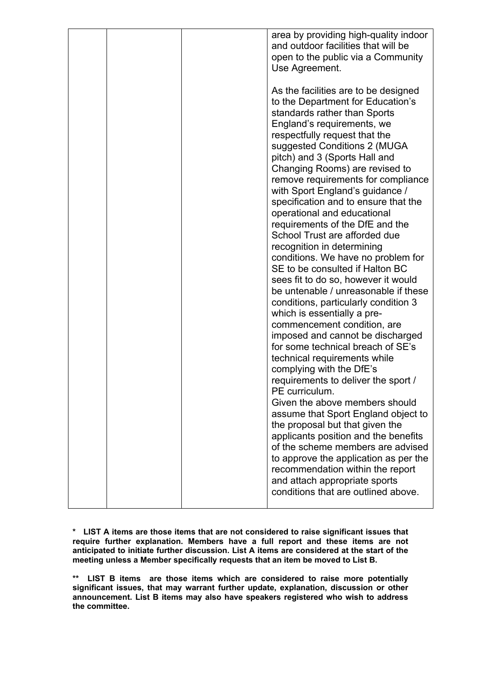|  | area by providing high-quality indoor<br>and outdoor facilities that will be<br>open to the public via a Community<br>Use Agreement.                                                                                                                                                                                                                                                                                                                                                                                                                                                                                                                                                                                                                                                                                                                                                                                                                                                                                                                                                                                                                                                                                        |
|--|-----------------------------------------------------------------------------------------------------------------------------------------------------------------------------------------------------------------------------------------------------------------------------------------------------------------------------------------------------------------------------------------------------------------------------------------------------------------------------------------------------------------------------------------------------------------------------------------------------------------------------------------------------------------------------------------------------------------------------------------------------------------------------------------------------------------------------------------------------------------------------------------------------------------------------------------------------------------------------------------------------------------------------------------------------------------------------------------------------------------------------------------------------------------------------------------------------------------------------|
|  | As the facilities are to be designed<br>to the Department for Education's<br>standards rather than Sports<br>England's requirements, we<br>respectfully request that the<br>suggested Conditions 2 (MUGA<br>pitch) and 3 (Sports Hall and<br>Changing Rooms) are revised to<br>remove requirements for compliance<br>with Sport England's guidance /<br>specification and to ensure that the<br>operational and educational<br>requirements of the DfE and the<br>School Trust are afforded due<br>recognition in determining<br>conditions. We have no problem for<br>SE to be consulted if Halton BC<br>sees fit to do so, however it would<br>be untenable / unreasonable if these<br>conditions, particularly condition 3<br>which is essentially a pre-<br>commencement condition, are<br>imposed and cannot be discharged<br>for some technical breach of SE's<br>technical requirements while<br>complying with the DfE's<br>requirements to deliver the sport /<br>PE curriculum.<br>Given the above members should<br>assume that Sport England object to<br>the proposal but that given the<br>applicants position and the benefits<br>of the scheme members are advised<br>to approve the application as per the |
|  | recommendation within the report<br>and attach appropriate sports<br>conditions that are outlined above.                                                                                                                                                                                                                                                                                                                                                                                                                                                                                                                                                                                                                                                                                                                                                                                                                                                                                                                                                                                                                                                                                                                    |

**\* LIST A items are those items that are not considered to raise significant issues that require further explanation. Members have a full report and these items are not anticipated to initiate further discussion. List A items are considered at the start of the meeting unless a Member specifically requests that an item be moved to List B.**

**\*\* LIST B items are those items which are considered to raise more potentially significant issues, that may warrant further update, explanation, discussion or other announcement. List B items may also have speakers registered who wish to address the committee.**